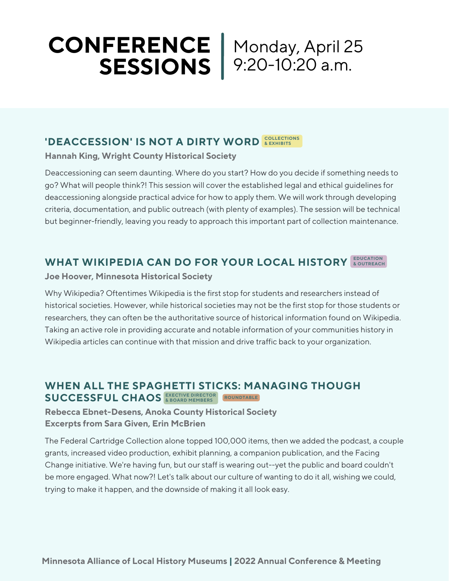# **CONFERENCE SESSIONS** 9:20-10:20 a.m. Monday, April 25

# **COLLECTION IS NOT A DIRTY WORD A BULECTIONS**

**Hannah King, Wright County Historical Society**

Deaccessioning can seem daunting. Where do you start? How do you decide if something needs to go? What will people think?! This session will cover the established legal and ethical guidelines for deaccessioning alongside practical advice for how to apply them. We will work through developing criteria, documentation, and public outreach (with plenty of examples). The session will be technical but beginner-friendly, leaving you ready to approach this important part of collection maintenance.

# **WHAT WIKIPEDIA CAN DO FOR YOUR LOCAL HISTORY EDUCATION & OUTREACH**

## **Joe Hoover, Minnesota Historical Society**

Why Wikipedia? Oftentimes Wikipedia is the first stop for students and researchers instead of historical societies. However, while historical societies may not be the first stop for those students or researchers, they can often be the authoritative source of historical information found on Wikipedia. Taking an active role in providing accurate and notable information of your communities history in Wikipedia articles can continue with that mission and drive traffic back to your organization.

## **WHEN ALL THE SPAGHETTI STICKS: MANAGING THOUGH SUCCESSFUL CHAOS EXECTIVE DIRECTOR & BOARD MEMBERS ROUNDTABLE**

**Rebecca Ebnet-Desens, Anoka County Historical Society Excerpts from Sara Given, Erin McBrien**

The Federal Cartridge Collection alone topped 100,000 items, then we added the podcast, a couple grants, increased video production, exhibit planning, a companion publication, and the Facing Change initiative. We're having fun, but our staff is wearing out--yet the public and board couldn't be more engaged. What now?! Let's talk about our culture of wanting to do it all, wishing we could, trying to make it happen, and the downside of making it all look easy.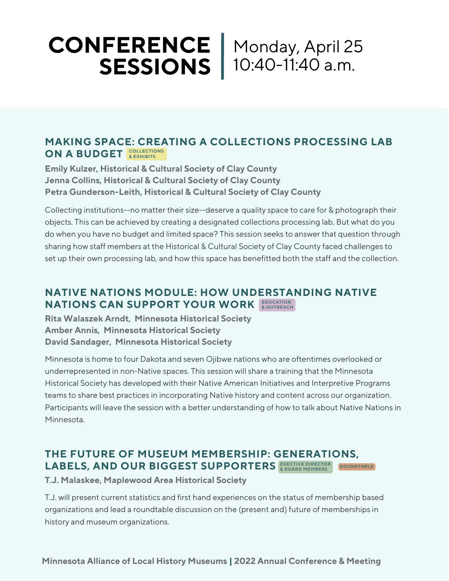## **CONFERENCE SESSIONS** Monday, April 25 10:40-11:40 a.m.

## **MAKING SPACE: CREATING A COLLECTIONS PROCESSING LAB**  $ON$  **A BUDGET** *REXHIBITS***</del>**

**Emily Kulzer, Historical & Cultural Society of Clay County Jenna Collins, Historical & Cultural Society of Clay County Petra Gunderson-Leith, Historical & Cultural Society of Clay County**

Collecting institutions--no matter their size--deserve a quality space to care for & photograph their objects. This can be achieved by creating a designated collections processing lab. But what do you do when you have no budget and limited space? This session seeks to answer that question through sharing how staff members at the Historical & Cultural Society of Clay County faced challenges to set up their own processing lab, and how this space has benefitted both the staff and the collection.

## **NATIVE NATIONS MODULE: HOW UNDERSTANDING NATIVE NATIONS CAN SUPPORT YOUR WORK EDUCATION & OUTREACH**

**Rita Walaszek Arndt, Minnesota Historical Society Amber Annis, Minnesota Historical Society David Sandager, Minnesota Historical Society**

Minnesota is home to four Dakota and seven Ojibwe nations who are oftentimes overlooked or underrepresented in non-Native spaces. This session will share a training that the Minnesota Historical Society has developed with their Native American Initiatives and Interpretive Programs teams to share best practices in incorporating Native history and content across our organization. Participants will leave the session with a better understanding of how to talk about Native Nations in Minnesota.

#### **THE FUTURE OF MUSEUM MEMBERSHIP: GENERATIONS, LABELS, AND OUR BIGGEST SUPPORTERS EXECTIVE DIRECTOR & BOARD MEMBERS ROUNDTABLE**

**T.J. Malaskee, Maplewood Area Historical Society**

T.J. will present current statistics and first hand experiences on the status of membership based organizations and lead a roundtable discussion on the (present and) future of memberships in history and museum organizations.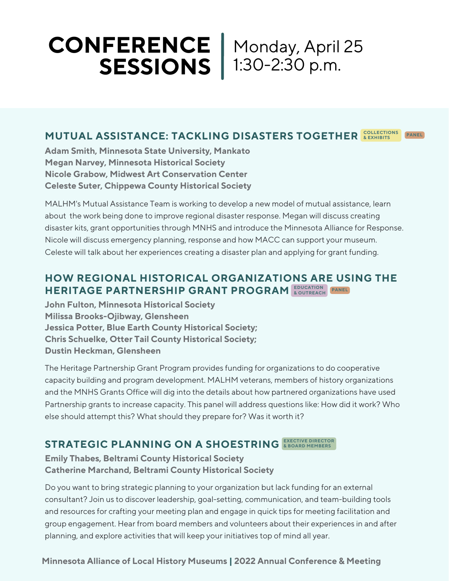## **CONFERENCE SESSIONS** Monday, April 25 1:30-2:30 p.m.

#### **MUTUAL ASSISTANCE: TACKLING DISASTERS TOGETHER COLLECTIONS & EXHIBITS PANEL**

**Adam Smith, Minnesota State University, Mankato Megan Narvey, Minnesota Historical Society Nicole Grabow, Midwest Art Conservation Center Celeste Suter, Chippewa County Historical Society**

MALHM's Mutual Assistance Team is working to develop a new model of mutual assistance, learn about the work being done to improve regional disaster response. Megan will discuss creating disaster kits, grant opportunities through MNHS and introduce the Minnesota Alliance for Response. Nicole will discuss emergency planning, response and how MACC can support your museum. Celeste will talk about her experiences creating a disaster plan and applying for grant funding.

## **HOW REGIONAL HISTORICAL ORGANIZATIONS ARE USING THE HERITAGE PARTNERSHIP GRANT PROGRAM EDUCATION & OUTREACH PANEL**

**John Fulton, Minnesota Historical Society Milissa Brooks-Ojibway, Glensheen Jessica Potter, Blue Earth County Historical Society; Chris Schuelke, Otter Tail County Historical Society; Dustin Heckman, Glensheen**

The Heritage Partnership Grant Program provides funding for organizations to do cooperative capacity building and program development. MALHM veterans, members of history organizations and the MNHS Grants Office will dig into the details about how partnered organizations have used Partnership grants to increase capacity. This panel will address questions like: How did it work? Who else should attempt this? What should they prepare for? Was it worth it?

## **STRATEGIC PLANNING ON A SHOESTRING EXECTIVE DIRECTOR & BOARD MEMBERS**

**Emily Thabes, Beltrami County Historical Society Catherine Marchand, Beltrami County Historical Society**

Do you want to bring strategic planning to your organization but lack funding for an external consultant? Join us to discover leadership, goal-setting, communication, and team-building tools and resources for crafting your meeting plan and engage in quick tips for meeting facilitation and group engagement. Hear from board members and volunteers about their experiences in and after planning, and explore activities that will keep your initiatives top of mind all year.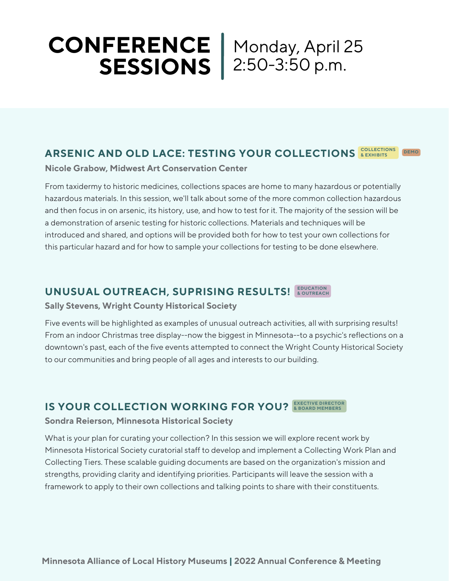# **CONFERENCE SESSIONS** 2:50-3:50 p.m. Monday, April 25

#### **ARSENIC AND OLD LACE: TESTING YOUR COLLECTIONS <b>REXHIBITS DEMO**

**Nicole Grabow, Midwest Art Conservation Center**

From taxidermy to historic medicines, collections spaces are home to many hazardous or potentially hazardous materials. In this session, we'll talk about some of the more common collection hazardous and then focus in on arsenic, its history, use, and how to test for it. The majority of the session will be a demonstration of arsenic testing for historic collections. Materials and techniques will be introduced and shared, and options will be provided both for how to test your own collections for this particular hazard and for how to sample your collections for testing to be done elsewhere.

## **UNUSUAL OUTREACH, SUPRISING RESULTS! EDUCATION & OUTREACH**

**Sally Stevens, Wright County Historical Society**

Five events will be highlighted as examples of unusual outreach activities, all with surprising results! From an indoor Christmas tree display--now the biggest in Minnesota--to a psychic's reflections on a downtown's past, each of the five events attempted to connect the Wright County Historical Society to our communities and bring people of all ages and interests to our building.

## **IS** YOUR COLLECTION WORKING FOR YOU? **EXECTIVE DIRECTOR**

#### **Sondra Reierson, Minnesota Historical Society**

What is your plan for curating your collection? In this session we will explore recent work by Minnesota Historical Society curatorial staff to develop and implement a Collecting Work Plan and Collecting Tiers. These scalable guiding documents are based on the organization's mission and strengths, providing clarity and identifying priorities. Participants will leave the session with a framework to apply to their own collections and talking points to share with their constituents.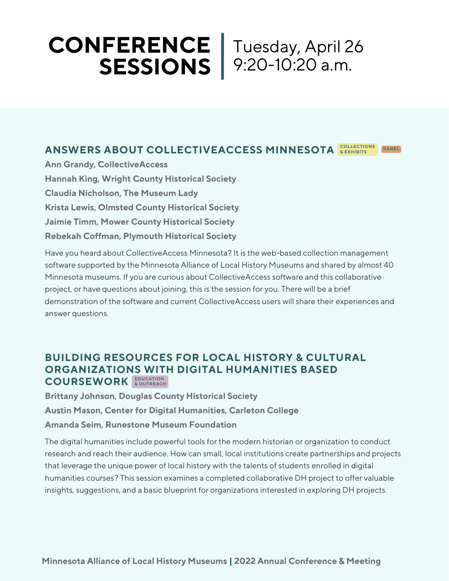## **CONFERENCE SESSIONS** Tuesday, April 26 9:20-10:20 a.m.

#### **ANSWERS ABOUT COLLECTIVEACCESS MINNESOTA <b>& EXHIBITS PANEL**

**Ann Grandy, CollectiveAccess Hannah King, Wright County Historical Society Claudia Nicholson, The Museum Lady Krista Lewis, Olmsted County Historical Society Jaimie Timm, Mower County Historical Society Rebekah Coffman, Plymouth Historical Society**

Have you heard about CollectiveAccess Minnesota? It is the web-based collection management software supported by the Minnesota Alliance of Local History Museums and shared by almost 40 Minnesota museums. If you are curious about CollectiveAccess software and this collaborative project, or have questions about joining, this is the session for you. There will be a brief demonstration of the software and current CollectiveAccess users will share their experiences and answer questions.

## **BUILDING RESOURCES FOR LOCAL HISTORY & CULTURAL ORGANIZATIONS WITH DIGITAL HUMANITIES BASED COURSEWORK EDUCATION & OUTREACH**

**Brittany Johnson, Douglas County Historical Society Austin Mason, Center for Digital Humanities, Carleton College Amanda Seim, Runestone Museum Foundation**

The digital humanities include powerful tools for the modern historian or organization to conduct research and reach their audience. How can small, local institutions create partnerships and projects that leverage the unique power of local history with the talents of students enrolled in digital humanities courses? This session examines a completed collaborative DH project to offer valuable insights, suggestions, and a basic blueprint for organizations interested in exploring DH projects.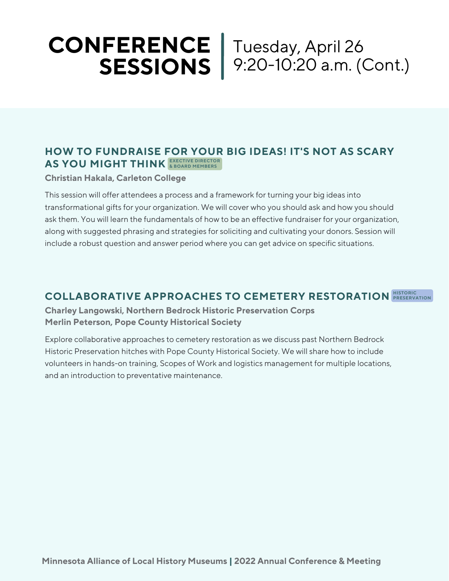## **CONFERENCE SESSIONS** Tuesday, April 26 9:20-10:20 a.m. (Cont.)

## **HOW TO FUNDRAISE FOR YOUR BIG IDEAS! IT'S NOT AS SCARY AS YOU MIGHT THINK EXECTIVE DIRECTOR & BOARD MEMBERS**

## **Christian Hakala, Carleton College**

This session will offer attendees a process and a framework for turning your big ideas into transformational gifts for your organization. We will cover who you should ask and how you should ask them. You will learn the fundamentals of how to be an effective fundraiser for your organization, along with suggested phrasing and strategies for soliciting and cultivating your donors. Session will include a robust question and answer period where you can get advice on specific situations.

## **COLLABORATIVE APPROACHES TO CEMETERY RESTORATION HISTORIC PRESERVATION**

**Charley Langowski, Northern Bedrock Historic Preservation Corps Merlin Peterson, Pope County Historical Society**

Explore collaborative approaches to cemetery restoration as we discuss past Northern Bedrock Historic Preservation hitches with Pope County Historical Society. We will share how to include volunteers in hands-on training, Scopes of Work and logistics management for multiple locations, and an introduction to preventative maintenance.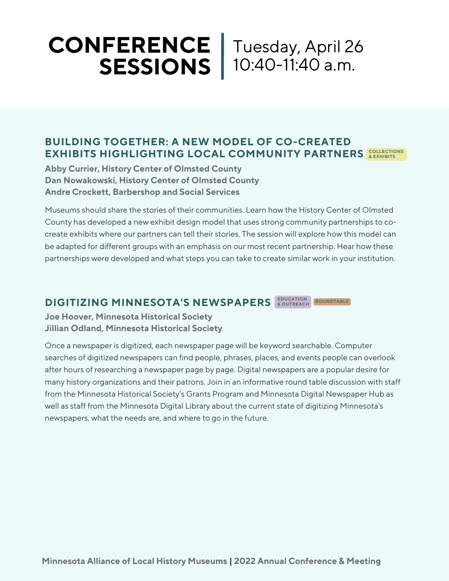# **CONFERENCE SESSIONS** 10:40-11:40 a.m. Tuesday, April 26

## **BUILDING TOGETHER: A NEW MODEL OF CO-CREATED**  $\textbf{EXHIBITS HIGHLIGHTINGHING LOGAL COMMUNITY PARTNERS 20114$ </mark>

**Abby Currier, History Center of Olmsted County Dan Nowakowski, History Center of Olmsted County Andre Crockett, Barbershop and Social Services**

Museums should share the stories of their communities. Learn how the History Center of Olmsted County has developed a new exhibit design model that uses strong community partnerships to cocreate exhibits where our partners can tell their stories. The session will explore how this model can be adapted for different groups with an emphasis on our most recent partnership. Hear how these partnerships were developed and what steps you can take to create similar work in your institution.

#### **DIGITIZING MINNESOTA'S NEWSPAPERS ROUNDTABLE**

**Joe Hoover, Minnesota Historical Society Jillian Odland, Minnesota Historical Society**

Once a newspaper is digitized, each newspaper page will be keyword searchable. Computer searches of digitized newspapers can find people, phrases, places, and events people can overlook after hours of researching a newspaper page by page. Digital newspapers are a popular desire for many history organizations and their patrons. Join in an informative round table discussion with staff from the Minnesota Historical Society's Grants Program and Minnesota Digital Newspaper Hub as well as staff from the Minnesota Digital Library about the current state of digitizing Minnesota's newspapers, what the needs are, and where to go in the future.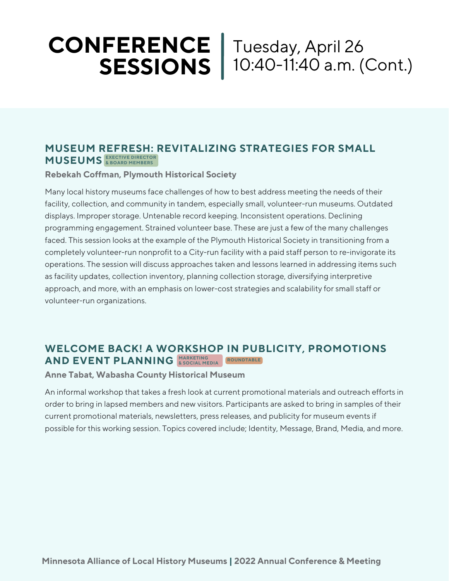# **CONFERENCE SESSIONS** 10:40-11:40 a.m. (Cont.)

Tuesday, April 26

## **MUSEUM REFRESH: REVITALIZING STRATEGIES FOR SMALL MUSEUMS EXECTIVE DIRECTOR & BOARD MEMBERS**

## **Rebekah Coffman, Plymouth Historical Society**

Many local history museums face challenges of how to best address meeting the needs of their facility, collection, and community in tandem, especially small, volunteer-run museums. Outdated displays. Improper storage. Untenable record keeping. Inconsistent operations. Declining programming engagement. Strained volunteer base. These are just a few of the many challenges faced. This session looks at the example of the Plymouth Historical Society in transitioning from a completely volunteer-run nonprofit to a City-run facility with a paid staff person to re-invigorate its operations. The session will discuss approaches taken and lessons learned in addressing items such as facility updates, collection inventory, planning collection storage, diversifying interpretive approach, and more, with an emphasis on lower-cost strategies and scalability for small staff or volunteer-run organizations.

## **WELCOME BACK! A WORKSHOP IN PUBLICITY, PROMOTIONS AND EVENT PLANNING ROUNDTABLE MARKETING & SOCIAL MEDIA**

#### **Anne Tabat, Wabasha County Historical Museum**

An informal workshop that takes a fresh look at current promotional materials and outreach efforts in order to bring in lapsed members and new visitors. Participants are asked to bring in samples of their current promotional materials, newsletters, press releases, and publicity for museum events if possible for this working session. Topics covered include; Identity, Message, Brand, Media, and more.